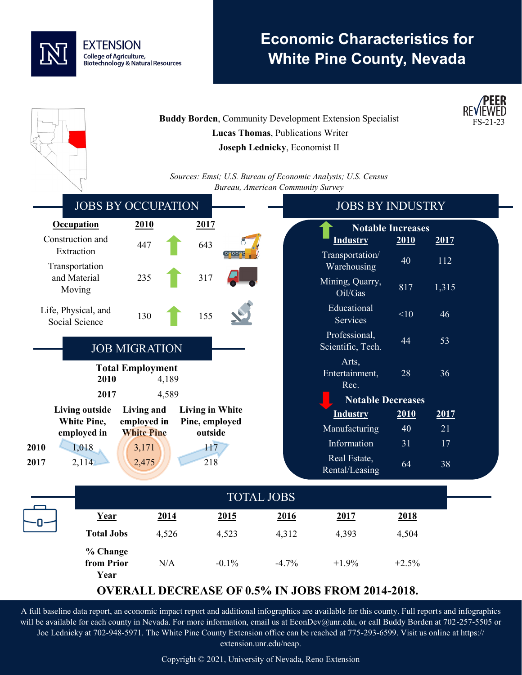

## **Economic Characteristics for White Pine County, Nevada**

**/PFFR** 

|                                                         |                                  |                                          | Lucas Thomas, Publications Writer<br>Joseph Lednicky, Economist II | <b>Buddy Borden, Community Development Extension Specialist</b> |                          |          | FS-21-23 |
|---------------------------------------------------------|----------------------------------|------------------------------------------|--------------------------------------------------------------------|-----------------------------------------------------------------|--------------------------|----------|----------|
|                                                         |                                  |                                          | Bureau, American Community Survey                                  | Sources: Emsi; U.S. Bureau of Economic Analysis; U.S. Census    |                          |          |          |
|                                                         | <b>JOBS BY OCCUPATION</b>        |                                          |                                                                    | <b>JOBS BY INDUSTRY</b>                                         |                          |          |          |
| <b>Occupation</b>                                       | <u>2010</u>                      | 2017                                     |                                                                    |                                                                 | <b>Notable Increases</b> |          |          |
| Construction and                                        | 447                              | 643                                      |                                                                    | <b>Industry</b>                                                 | 2010                     | 2017     |          |
| Extraction<br>Transportation                            |                                  |                                          |                                                                    | Transportation/<br>Warehousing                                  | 40                       | 112      |          |
| and Material<br>Moving                                  | 235                              | 317                                      |                                                                    | Mining, Quarry,<br>Oil/Gas                                      | 817                      | 1,315    |          |
| Life, Physical, and<br>Social Science                   | 130                              | 155                                      |                                                                    | Educational<br>Services                                         | <10                      | 46       |          |
|                                                         | <b>JOB MIGRATION</b>             |                                          |                                                                    | Professional,<br>Scientific, Tech.                              | 44                       | 53       |          |
| 2010                                                    | <b>Total Employment</b><br>4,189 |                                          |                                                                    | Arts,<br>Entertainment,<br>Rec.                                 | 28                       | 36       |          |
| 2017<br>4,589                                           |                                  |                                          |                                                                    | <b>Notable Decreases</b>                                        |                          |          |          |
| <b>Living outside</b><br>White Pine,                    | Living and<br>employed in        | <b>Living in White</b><br>Pine, employed |                                                                    | <b>Industry</b>                                                 | 2010                     | 2017     |          |
| employed in                                             | <b>White Pine</b>                | outside                                  |                                                                    | Manufacturing<br>Information                                    | 40<br>31                 | 21<br>17 |          |
| 2010<br>1,018<br>2017<br>2,114                          | 3,171<br>2,475                   | 117<br>218                               |                                                                    | Real Estate,<br>Rental/Leasing                                  | 64                       | 38       |          |
|                                                         |                                  |                                          |                                                                    |                                                                 |                          |          |          |
| <b>TOTAL JOBS</b>                                       |                                  |                                          |                                                                    |                                                                 |                          |          |          |
| Year                                                    | <u>2014</u>                      | <u>2015</u>                              | 2016                                                               | 2017                                                            | 2018                     |          |          |
| <b>Total Jobs</b>                                       | 4,526                            | 4,523                                    | 4,312                                                              | 4,393                                                           | 4,504                    |          |          |
| % Change<br>from Prior<br>Year                          | N/A                              | $-0.1%$                                  | $-4.7%$                                                            | $+1.9%$                                                         | $+2.5%$                  |          |          |
| <b>OVERALL DECREASE OF 0.5% IN JOBS FROM 2014-2018.</b> |                                  |                                          |                                                                    |                                                                 |                          |          |          |

A full baseline data report, an economic impact report and additional infographics are available for this county. Full reports and infographics will be available for each county in Nevada. For more information, email us at EconDev@unr.edu, or call Buddy Borden at 702-257-5505 or Joe Lednicky at 702-948-5971. The White Pine County Extension office can be reached at 775-293-6599. Visit us online at https:// extension.unr.edu/neap.